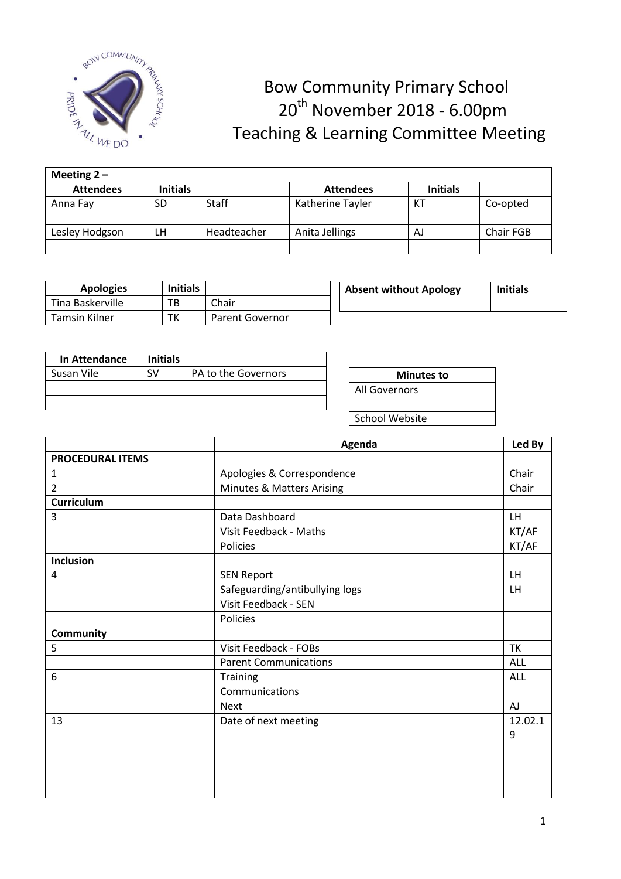

## Bow Community Primary School  $\begin{array}{cc}\n\mathbb{R}^{\text{200000}} & \mathbb{R}^{\text{200000}} \\
\mathbb{R}^{\text{200000}} & \mathbb{R}^{\text{20000}} \\
\mathbb{R}^{\text{20000}} & \mathbb{R}^{\text{20000}}\n\end{array}$ Teaching & Learning Committee Meeting

| Meeting $2 -$    |                 |              |  |                  |                 |           |  |
|------------------|-----------------|--------------|--|------------------|-----------------|-----------|--|
| <b>Attendees</b> | <b>Initials</b> |              |  | <b>Attendees</b> | <b>Initials</b> |           |  |
| Anna Fay         | SD              | <b>Staff</b> |  | Katherine Tayler | КJ              | Co-opted  |  |
| Lesley Hodgson   | LН              | Headteacher  |  | Anita Jellings   | AJ              | Chair FGB |  |
|                  |                 |              |  |                  |                 |           |  |

| <b>Apologies</b>     | <b>Initials</b> |                        | <b>Absent without Apology</b> | <b>Initials</b> |
|----------------------|-----------------|------------------------|-------------------------------|-----------------|
| Tina Baskerville     | ТB              | Chair                  |                               |                 |
| <b>Tamsin Kilner</b> | ТK              | <b>Parent Governor</b> |                               |                 |

| <b>In Attendance</b> | <b>Initials</b> |                     |
|----------------------|-----------------|---------------------|
| Susan Vile           |                 | PA to the Governors |
|                      |                 |                     |
|                      |                 |                     |

| <b>Minutes to</b> |  |  |  |  |  |
|-------------------|--|--|--|--|--|
| All Governors     |  |  |  |  |  |
|                   |  |  |  |  |  |
| School Website    |  |  |  |  |  |
|                   |  |  |  |  |  |

|                         | Agenda<br>Led By                     |           |  |  |
|-------------------------|--------------------------------------|-----------|--|--|
| <b>PROCEDURAL ITEMS</b> |                                      |           |  |  |
| 1                       | Apologies & Correspondence           | Chair     |  |  |
| $\overline{2}$          | <b>Minutes &amp; Matters Arising</b> | Chair     |  |  |
| Curriculum              |                                      |           |  |  |
| 3                       | Data Dashboard                       | <b>LH</b> |  |  |
|                         | Visit Feedback - Maths               | KT/AF     |  |  |
|                         | Policies                             | KT/AF     |  |  |
| <b>Inclusion</b>        |                                      |           |  |  |
| 4                       | <b>SEN Report</b>                    | LH        |  |  |
|                         | Safeguarding/antibullying logs       | LH        |  |  |
|                         | Visit Feedback - SEN                 |           |  |  |
|                         | Policies                             |           |  |  |
| <b>Community</b>        |                                      |           |  |  |
| 5                       | Visit Feedback - FOBs                | <b>TK</b> |  |  |
|                         | <b>Parent Communications</b>         | ALL       |  |  |
| 6                       | <b>Training</b>                      | ALL       |  |  |
|                         | Communications                       |           |  |  |
|                         | <b>Next</b>                          | <b>AJ</b> |  |  |
| 13                      | Date of next meeting                 | 12.02.1   |  |  |
|                         |                                      | 9         |  |  |
|                         |                                      |           |  |  |
|                         |                                      |           |  |  |
|                         |                                      |           |  |  |
|                         |                                      |           |  |  |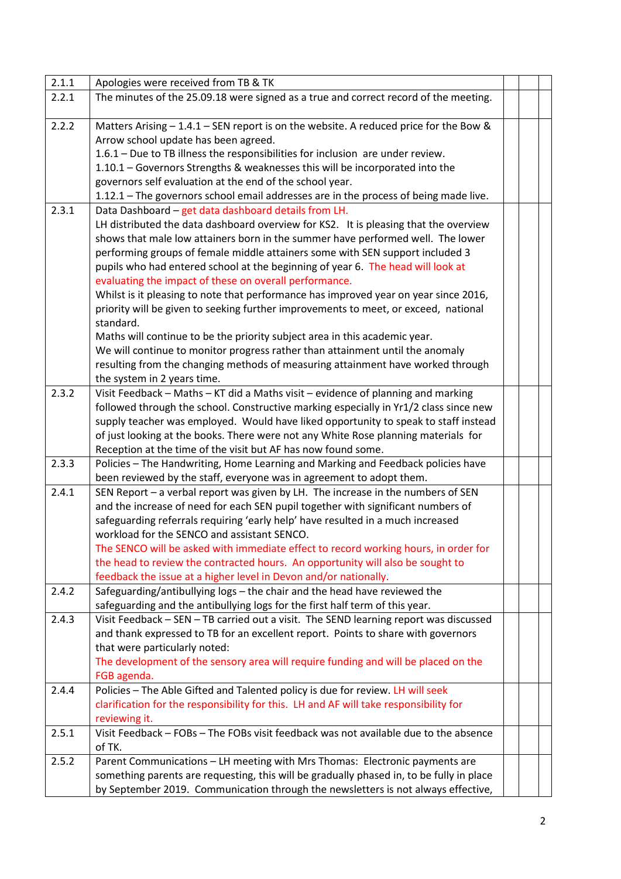| 2.1.1 | Apologies were received from TB & TK                                                     |  |  |
|-------|------------------------------------------------------------------------------------------|--|--|
| 2.2.1 | The minutes of the 25.09.18 were signed as a true and correct record of the meeting.     |  |  |
|       |                                                                                          |  |  |
| 2.2.2 | Matters Arising - 1.4.1 - SEN report is on the website. A reduced price for the Bow &    |  |  |
|       | Arrow school update has been agreed.                                                     |  |  |
|       | 1.6.1 - Due to TB illness the responsibilities for inclusion are under review.           |  |  |
|       | 1.10.1 - Governors Strengths & weaknesses this will be incorporated into the             |  |  |
|       | governors self evaluation at the end of the school year.                                 |  |  |
|       | 1.12.1 - The governors school email addresses are in the process of being made live.     |  |  |
| 2.3.1 | Data Dashboard - get data dashboard details from LH.                                     |  |  |
|       | LH distributed the data dashboard overview for KS2. It is pleasing that the overview     |  |  |
|       | shows that male low attainers born in the summer have performed well. The lower          |  |  |
|       | performing groups of female middle attainers some with SEN support included 3            |  |  |
|       | pupils who had entered school at the beginning of year 6. The head will look at          |  |  |
|       | evaluating the impact of these on overall performance.                                   |  |  |
|       | Whilst is it pleasing to note that performance has improved year on year since 2016,     |  |  |
|       | priority will be given to seeking further improvements to meet, or exceed, national      |  |  |
|       | standard.                                                                                |  |  |
|       | Maths will continue to be the priority subject area in this academic year.               |  |  |
|       | We will continue to monitor progress rather than attainment until the anomaly            |  |  |
|       | resulting from the changing methods of measuring attainment have worked through          |  |  |
|       | the system in 2 years time.                                                              |  |  |
| 2.3.2 | Visit Feedback - Maths - KT did a Maths visit - evidence of planning and marking         |  |  |
|       | followed through the school. Constructive marking especially in Yr1/2 class since new    |  |  |
|       | supply teacher was employed. Would have liked opportunity to speak to staff instead      |  |  |
|       | of just looking at the books. There were not any White Rose planning materials for       |  |  |
|       | Reception at the time of the visit but AF has now found some.                            |  |  |
| 2.3.3 | Policies - The Handwriting, Home Learning and Marking and Feedback policies have         |  |  |
|       | been reviewed by the staff, everyone was in agreement to adopt them.                     |  |  |
| 2.4.1 | SEN Report - a verbal report was given by LH. The increase in the numbers of SEN         |  |  |
|       | and the increase of need for each SEN pupil together with significant numbers of         |  |  |
|       | safeguarding referrals requiring 'early help' have resulted in a much increased          |  |  |
|       | workload for the SENCO and assistant SENCO.                                              |  |  |
|       | The SENCO will be asked with immediate effect to record working hours, in order for      |  |  |
|       | the head to review the contracted hours. An opportunity will also be sought to           |  |  |
|       | feedback the issue at a higher level in Devon and/or nationally.                         |  |  |
| 2.4.2 | Safeguarding/antibullying logs - the chair and the head have reviewed the                |  |  |
|       | safeguarding and the antibullying logs for the first half term of this year.             |  |  |
| 2.4.3 | Visit Feedback - SEN - TB carried out a visit. The SEND learning report was discussed    |  |  |
|       | and thank expressed to TB for an excellent report. Points to share with governors        |  |  |
|       | that were particularly noted:                                                            |  |  |
|       | The development of the sensory area will require funding and will be placed on the       |  |  |
|       | FGB agenda.                                                                              |  |  |
| 2.4.4 | Policies - The Able Gifted and Talented policy is due for review. LH will seek           |  |  |
|       | clarification for the responsibility for this. LH and AF will take responsibility for    |  |  |
|       | reviewing it.                                                                            |  |  |
| 2.5.1 | Visit Feedback - FOBs - The FOBs visit feedback was not available due to the absence     |  |  |
|       | of TK.                                                                                   |  |  |
| 2.5.2 | Parent Communications - LH meeting with Mrs Thomas: Electronic payments are              |  |  |
|       | something parents are requesting, this will be gradually phased in, to be fully in place |  |  |
|       | by September 2019. Communication through the newsletters is not always effective,        |  |  |